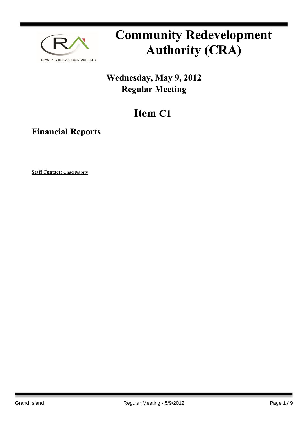

# **Community Redevelopment Authority (CRA)**

### **Wednesday, May 9, 2012 Regular Meeting**

## **Item C1**

**Financial Reports**

**Staff Contact: Chad Nabity**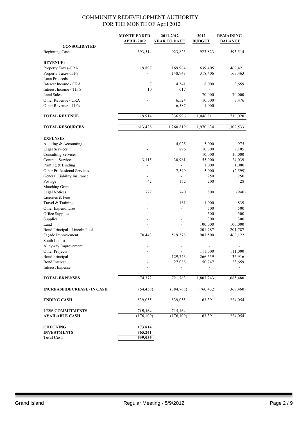|                                              | <b>MONTH ENDED</b><br><b>APRIL 2012</b> | 2011-2012<br>YEAR TO DATE | 2012<br><b>BUDGET</b> | <b>REMAINING</b><br><b>BALANCE</b> |
|----------------------------------------------|-----------------------------------------|---------------------------|-----------------------|------------------------------------|
| <b>CONSOLIDATED</b>                          |                                         |                           |                       |                                    |
| <b>Beginning Cash</b>                        | 593,514                                 | 923,823                   | 923,823               | 593,514                            |
|                                              |                                         |                           |                       |                                    |
| <b>REVENUE:</b>                              |                                         |                           |                       |                                    |
| Property Taxes-CRA                           | 19,897                                  | 169,984                   | 639,405               | 469,421                            |
| Property Taxes-TIF's                         |                                         | 148,943                   | 318,406               | 169,463                            |
| Loan Proceeds                                | $\overline{\phantom{0}}$                |                           |                       |                                    |
| Interest Income - CRA                        | 7                                       | 4,341                     | 8,000                 | 3,659                              |
| Interest Income - TIF'S                      | 10                                      | 617<br>$\blacksquare$     |                       |                                    |
| <b>Land Sales</b><br>Other Revenue - CRA     |                                         |                           | 70,000                | 70,000                             |
| Other Revenue - TIF's                        |                                         | 6,524<br>6,587            | 10,000<br>1,000       | 3,476                              |
|                                              |                                         |                           |                       |                                    |
| <b>TOTAL REVENUE</b>                         | 19,914                                  | 336,996                   | 1,046,811             | 716,020                            |
|                                              |                                         |                           |                       |                                    |
| <b>TOTAL RESOURCES</b>                       | 613,428                                 | 1,260,819                 | 1,970,634             | 1,309,533                          |
|                                              |                                         |                           |                       |                                    |
| <b>EXPENSES</b>                              |                                         |                           |                       |                                    |
| Auditing & Accounting                        | $\overline{a}$                          | 4,025                     | 5,000                 | 975                                |
| Legal Services<br><b>Consulting Services</b> |                                         | 896<br>$\blacksquare$     | 10,000                | 9,105                              |
| <b>Contract Services</b>                     | $\overline{\phantom{a}}$<br>3,115       | 30,961                    | 10,000<br>55,000      | 10,000<br>24,039                   |
| Printing & Binding                           | ä,                                      | $\overline{\phantom{0}}$  | 1,000                 | 1,000                              |
| Other Professional Services                  |                                         | 7,599                     | 5,000                 | (2, 599)                           |
| General Liability Insurance                  |                                         |                           | 250                   | 250                                |
| Postage                                      | 42                                      | 172                       | 200                   | 28                                 |
| Matching Grant                               |                                         |                           |                       |                                    |
| <b>Legal Notices</b>                         | 772                                     | 1,740                     | 800                   | (940)                              |
| Licenses & Fees                              | $\overline{\phantom{a}}$                | $\overline{\phantom{a}}$  | ÷,                    |                                    |
| Travel & Training                            |                                         | 161                       | 1,000                 | 839                                |
| Other Expenditures                           |                                         |                           | 500                   | 500                                |
| Office Supplies                              |                                         |                           | 500                   | 500                                |
| Supplies                                     |                                         |                           | 300                   | 300                                |
| Land                                         |                                         | ÷                         | 100,000               | 100,000                            |
| Bond Principal - Lincoln Pool                | $\sim$                                  | ÷.                        | 201,787               | 201,787                            |
| Façade Improvement                           | 70,443                                  | 519,378                   | 987,500               | 468,122                            |
| South Locust                                 |                                         |                           |                       |                                    |
| Alleyway Improvement                         |                                         |                           |                       |                                    |
| Other Projects                               |                                         |                           | 111,000               | 111,000                            |
| <b>Bond Principal</b>                        |                                         | 129,743                   | 266,659               | 136,916                            |
| <b>Bond Interest</b>                         |                                         | 27,088                    | 50,747                | 23,659                             |
| <b>Interest Expense</b>                      |                                         |                           |                       |                                    |
| <b>TOTAL EXPENSES</b>                        | 74,372                                  | 721,763                   | 1,807,243             | 1,085,480                          |
| <b>INCREASE(DECREASE) IN CASH</b>            | (54, 458)                               | (384, 768)                | (760, 432)            | (369, 460)                         |
| <b>ENDING CASH</b>                           | 539,055                                 | 539,055                   | 163,391               | 224,054                            |
| <b>LESS COMMITMENTS</b>                      | 715,164                                 | 715,164                   |                       |                                    |
| <b>AVAILABLE CASH</b>                        | (176, 109)                              | (176, 109)                | 163,391               | 224,054                            |
|                                              |                                         |                           |                       |                                    |
| <b>CHECKING</b>                              | 173,814                                 |                           |                       |                                    |
| <b>INVESTMENTS</b>                           | 365,241                                 |                           |                       |                                    |
| <b>Total Cash</b>                            | 539,055                                 |                           |                       |                                    |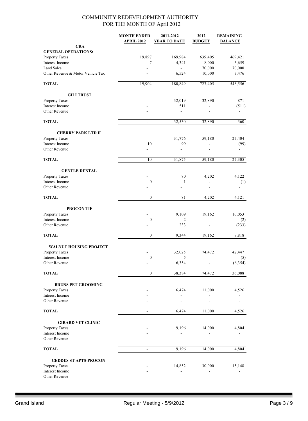|                                   | <b>MONTH ENDED</b><br><b>APRIL 2012</b> | 2011-2012<br><b>YEAR TO DATE</b> | 2012<br><b>BUDGET</b>    | <b>REMAINING</b><br><b>BALANCE</b> |
|-----------------------------------|-----------------------------------------|----------------------------------|--------------------------|------------------------------------|
| <b>CRA</b>                        |                                         |                                  |                          |                                    |
| <b>GENERAL OPERATIONS:</b>        |                                         |                                  |                          |                                    |
| Property Taxes                    | 19,897                                  | 169,984                          | 639,405                  | 469,421                            |
| <b>Interest Income</b>            | 7                                       | 4,341                            | 8,000                    | 3,659                              |
| <b>Land Sales</b>                 |                                         | $\mathbf{r}$                     | 70,000                   | 70,000                             |
| Other Revenue & Motor Vehicle Tax |                                         | 6,524                            | 10,000                   | 3,476                              |
| <b>TOTAL</b>                      | 19,904                                  | 180,849                          | 727,405                  | 546,556                            |
| <b>GILI TRUST</b>                 |                                         |                                  |                          |                                    |
| Property Taxes                    |                                         | 32,019                           | 32,890                   | 871                                |
| Interest Income                   |                                         | 511                              |                          | (511)                              |
| Other Revenue                     |                                         | $\overline{a}$                   | ä,                       |                                    |
| <b>TOTAL</b>                      | $\blacksquare$                          | 32,530                           | 32,890                   | 360                                |
| <b>CHERRY PARK LTD II</b>         |                                         |                                  |                          |                                    |
| Property Taxes                    | ÷,                                      | 31,776                           | 59,180                   | 27,404                             |
| Interest Income                   | 10                                      | 99                               | $\overline{a}$           | (99)                               |
| Other Revenue                     |                                         |                                  |                          |                                    |
| <b>TOTAL</b>                      | 10                                      | 31,875                           | 59,180                   | 27,305                             |
| <b>GENTLE DENTAL</b>              |                                         |                                  |                          |                                    |
| Property Taxes                    |                                         | 80                               | 4,202                    | 4,122                              |
| Interest Income                   | $\boldsymbol{0}$                        | $\mathbf{1}$                     | ÷.                       | (1)                                |
| Other Revenue                     |                                         |                                  |                          |                                    |
| <b>TOTAL</b>                      | $\mathbf{0}$                            | 81                               | 4,202                    | 4,121                              |
| <b>PROCON TIF</b>                 |                                         |                                  |                          |                                    |
| Property Taxes                    |                                         | 9,109                            | 19,162                   | 10,053                             |
| Interest Income                   | $\boldsymbol{0}$                        | 2                                | $\blacksquare$           | (2)                                |
| Other Revenue                     |                                         | 233                              |                          | (233)                              |
| <b>TOTAL</b>                      | $\mathbf{0}$                            | 9,344                            | 19,162                   | 9,818                              |
| <b>WALNUT HOUSING PROJECT</b>     |                                         |                                  |                          |                                    |
| Property Taxes                    |                                         | 32,025                           | 74,472                   | 42,447                             |
| Interest Income                   | $\mathbf{0}$                            | 5                                | $\overline{\phantom{0}}$ | (5)                                |
| Other Revenue                     |                                         | 6,354                            |                          | (6, 354)                           |
| <b>TOTAL</b>                      | $\mathbf{0}$                            | 38,384                           | 74,472                   | 36,088                             |
| <b>BRUNS PET GROOMING</b>         |                                         |                                  |                          |                                    |
| Property Taxes                    |                                         | 6,474                            | 11,000                   | 4,526                              |
| Interest Income                   |                                         |                                  |                          |                                    |
| Other Revenue                     |                                         |                                  |                          |                                    |
| <b>TOTAL</b>                      | $\overline{a}$                          | 6,474                            | 11,000                   | 4,526                              |
| <b>GIRARD VET CLINIC</b>          |                                         |                                  |                          |                                    |
| Property Taxes                    |                                         | 9,196                            | 14,000                   | 4,804                              |
| Interest Income                   |                                         |                                  |                          |                                    |
| Other Revenue                     |                                         |                                  |                          |                                    |
| <b>TOTAL</b>                      | $\overline{\phantom{a}}$                | 9,196                            | 14,000                   | 4,804                              |
| <b>GEDDES ST APTS-PROCON</b>      |                                         |                                  |                          |                                    |
| Property Taxes                    |                                         | 14,852                           | 30,000                   | 15,148                             |
| Interest Income                   |                                         |                                  |                          |                                    |
| Other Revenue                     |                                         |                                  |                          |                                    |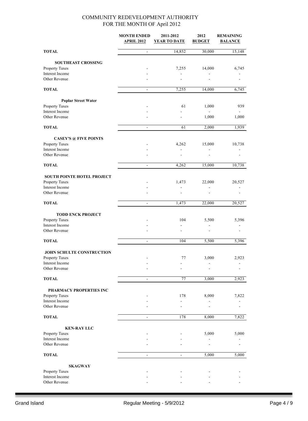|                                           | <b>MONTH ENDED</b><br><b>APRIL 2012</b> | 2011-2012<br>YEAR TO DATE | 2012<br><b>BUDGET</b> | <b>REMAINING</b><br><b>BALANCE</b> |
|-------------------------------------------|-----------------------------------------|---------------------------|-----------------------|------------------------------------|
| <b>TOTAL</b>                              | $\blacksquare$                          | 14,852                    | 30,000                | 15,148                             |
| <b>SOUTHEAST CROSSING</b>                 |                                         |                           |                       |                                    |
| Property Taxes                            |                                         | 7,255                     | 14,000                | 6,745                              |
| Interest Income                           |                                         |                           |                       |                                    |
| Other Revenue                             |                                         |                           |                       |                                    |
| <b>TOTAL</b>                              | $\frac{1}{2}$                           | 7,255                     | 14,000                | 6,745                              |
| <b>Poplar Street Water</b>                |                                         |                           |                       |                                    |
| Property Taxes                            |                                         | 61                        | 1,000                 | 939                                |
| Interest Income                           |                                         |                           |                       |                                    |
| Other Revenue                             |                                         |                           | 1,000                 | 1,000                              |
| <b>TOTAL</b>                              | $\blacksquare$                          | 61                        | 2,000                 | 1,939                              |
| <b>CASEY'S @ FIVE POINTS</b>              |                                         |                           |                       |                                    |
| <b>Property Taxes</b>                     |                                         | 4,262                     | 15,000                | 10,738                             |
| Interest Income<br>Other Revenue          |                                         | $\overline{\phantom{a}}$  | $\blacksquare$        |                                    |
| <b>TOTAL</b>                              | $\blacksquare$                          | 4,262                     | 15,000                | 10,738                             |
|                                           |                                         |                           |                       |                                    |
| <b>SOUTH POINTE HOTEL PROJECT</b>         |                                         |                           |                       |                                    |
| Property Taxes                            |                                         | 1,473                     | 22,000                | 20,527                             |
| Interest Income                           |                                         |                           |                       |                                    |
| Other Revenue                             |                                         |                           |                       |                                    |
| <b>TOTAL</b>                              | $\overline{\phantom{0}}$                | 1,473                     | 22,000                | 20,527                             |
| <b>TODD ENCK PROJECT</b>                  |                                         |                           |                       |                                    |
| Property Taxes                            |                                         | 104                       | 5,500                 | 5,396                              |
| Interest Income<br>Other Revenue          |                                         |                           |                       |                                    |
| <b>TOTAL</b>                              | ÷,                                      | 104                       | 5,500                 | 5,396                              |
|                                           |                                         |                           |                       |                                    |
| <b>JOHN SCHULTE CONSTRUCTION</b>          |                                         |                           |                       |                                    |
| Property Taxes                            |                                         | 77                        | 3,000                 | 2,923                              |
| Interest Income<br>Other Revenue          |                                         |                           |                       |                                    |
| <b>TOTAL</b>                              | $\overline{\phantom{a}}$                | 77                        | 3,000                 | 2,923                              |
|                                           |                                         |                           |                       |                                    |
| PHARMACY PROPERTIES INC<br>Property Taxes |                                         | 178                       | 8,000                 | 7,822                              |
| Interest Income                           |                                         |                           |                       |                                    |
| Other Revenue                             |                                         |                           |                       |                                    |
| <b>TOTAL</b>                              | $\blacksquare$                          | 178                       | 8,000                 | 7,822                              |
| <b>KEN-RAY LLC</b>                        |                                         |                           |                       |                                    |
| Property Taxes                            |                                         |                           | 5,000                 | 5,000                              |
| Interest Income<br>Other Revenue          |                                         |                           |                       |                                    |
|                                           |                                         |                           |                       |                                    |
| <b>TOTAL</b>                              | $\overline{\phantom{a}}$                | $\blacksquare$            | 5,000                 | 5,000                              |
| <b>SKAGWAY</b>                            |                                         |                           |                       |                                    |
| Property Taxes                            |                                         |                           |                       |                                    |
| Interest Income<br>Other Revenue          |                                         |                           |                       |                                    |
|                                           |                                         |                           |                       |                                    |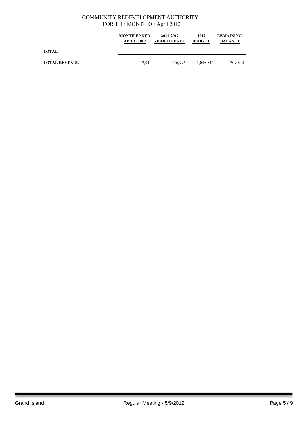|                      | <b>MONTH ENDED</b><br><b>APRIL 2012</b> | 2011-2012<br><b>YEAR TO DATE</b> | 2012<br><b>BUDGET</b> | <b>REMAINING</b><br><b>BALANCE</b> |
|----------------------|-----------------------------------------|----------------------------------|-----------------------|------------------------------------|
| TOTAL                | -                                       | $\overline{\phantom{a}}$         | -                     |                                    |
| <b>TOTAL REVENUE</b> | 19.914                                  | 336.996                          | 1.046.811             | 709,815                            |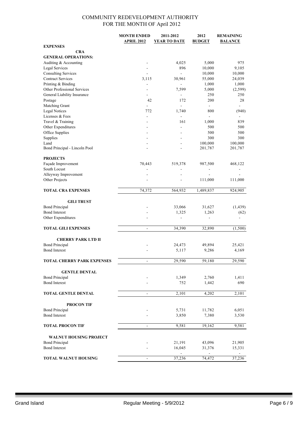|                                                        | <b>MONTH ENDED</b>           | 2011-2012               | 2012           | <b>REMAINING</b>  |
|--------------------------------------------------------|------------------------------|-------------------------|----------------|-------------------|
|                                                        | <b>APRIL 2012</b>            | <b>YEAR TO DATE</b>     | <b>BUDGET</b>  | <b>BALANCE</b>    |
| <b>EXPENSES</b>                                        |                              |                         |                |                   |
| <b>CRA</b>                                             |                              |                         |                |                   |
| <b>GENERAL OPERATIONS:</b>                             |                              |                         |                |                   |
| Auditing & Accounting                                  |                              | 4,025                   | 5,000          | 975               |
| Legal Services                                         | $\overline{a}$               | 896                     | 10,000         | 9,105             |
| <b>Consulting Services</b><br><b>Contract Services</b> |                              | $\blacksquare$          | 10,000         | 10,000            |
|                                                        | 3,115                        | 30,961                  | 55,000         | 24,039            |
| Printing & Binding<br>Other Professional Services      |                              | $\blacksquare$<br>7,599 | 1,000<br>5,000 | 1,000<br>(2, 599) |
| General Liability Insurance                            | $\overline{\phantom{a}}$     | ÷,                      | 250            | 250               |
| Postage                                                | 42                           | 172                     | 200            | 28                |
| Matching Grant                                         | $\overline{a}$               | $\overline{a}$          | $\blacksquare$ | $\blacksquare$    |
| <b>Legal Notices</b>                                   | 772                          | 1,740                   | 800            | (940)             |
| Licenses & Fees                                        | $\overline{\phantom{a}}$     | $\overline{a}$          | ä,             |                   |
| Travel & Training                                      |                              | 161                     | 1,000          | 839               |
| Other Expenditures                                     |                              | ä,                      | 500            | 500               |
| Office Supplies                                        |                              |                         | 500            | 500               |
| Supplies                                               |                              |                         | 300            | 300               |
| Land                                                   | $\overline{a}$               | $\overline{a}$          | 100,000        | 100,000           |
| Bond Principal - Lincoln Pool                          |                              |                         | 201,787        | 201,787           |
|                                                        |                              |                         |                |                   |
| <b>PROJECTS</b>                                        |                              |                         |                |                   |
| Façade Improvement                                     | 70,443                       | 519,378                 | 987,500        | 468,122           |
| South Locust                                           |                              |                         | $\frac{1}{2}$  |                   |
| Alleyway Improvement                                   |                              |                         |                |                   |
| Other Projects                                         |                              | $\overline{a}$          | 111,000        | 111,000           |
|                                                        |                              |                         |                |                   |
| <b>TOTAL CRA EXPENSES</b>                              | 74,372                       | 564,932                 | 1,489,837      | 924,905           |
|                                                        |                              |                         |                |                   |
| <b>GILI TRUST</b><br><b>Bond Principal</b>             |                              | 33,066                  | 31,627         | (1, 439)          |
| <b>Bond Interest</b>                                   |                              | 1,325                   | 1,263          | (62)              |
| Other Expenditures                                     |                              | ä,                      |                |                   |
|                                                        |                              |                         |                |                   |
| <b>TOTAL GILI EXPENSES</b>                             | $\overline{a}$               | 34,390                  | 32,890         | (1,500)           |
|                                                        |                              |                         |                |                   |
| <b>CHERRY PARK LTD II</b>                              |                              |                         |                |                   |
| <b>Bond Principal</b>                                  |                              | 24,473                  | 49,894         | 25,421            |
| <b>Bond Interest</b>                                   |                              | 5,117                   | 9,286          | 4,169             |
|                                                        |                              |                         |                |                   |
| <b>TOTAL CHERRY PARK EXPENSES</b>                      | $\overline{a}$               | 29,590                  | 59,180         | 29,590            |
|                                                        |                              |                         |                |                   |
| <b>GENTLE DENTAL</b>                                   |                              |                         |                |                   |
| <b>Bond Principal</b>                                  |                              | 1,349                   | 2,760          | 1,411             |
| <b>Bond Interest</b>                                   |                              | 752                     | 1,442          | 690               |
|                                                        |                              |                         |                |                   |
| <b>TOTAL GENTLE DENTAL</b>                             | $\qquad \qquad \blacksquare$ | 2,101                   | 4,202          | 2,101             |
|                                                        |                              |                         |                |                   |
| <b>PROCON TIF</b>                                      |                              |                         |                |                   |
| <b>Bond Principal</b>                                  |                              | 5,731                   | 11,782         | 6,051             |
| <b>Bond Interest</b>                                   |                              | 3,850                   | 7,380          | 3,530             |
|                                                        |                              |                         |                |                   |
| <b>TOTAL PROCON TIF</b>                                | $\qquad \qquad \blacksquare$ | 9,581                   | 19,162         | 9,581             |
|                                                        |                              |                         |                |                   |
| <b>WALNUT HOUSING PROJECT</b>                          |                              |                         |                |                   |
| <b>Bond Principal</b>                                  |                              | 21,191                  | 43,096         | 21,905            |
| <b>Bond Interest</b>                                   |                              | 16,045                  | 31,376         | 15,331            |
|                                                        |                              |                         |                |                   |
| <b>TOTAL WALNUT HOUSING</b>                            |                              | 37,236                  | 74,472         | 37,236            |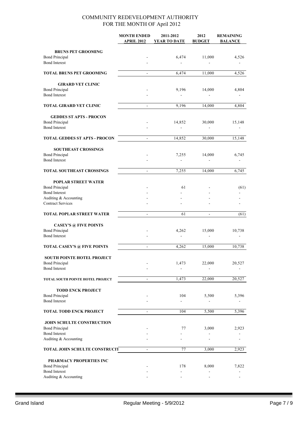|                                      | <b>MONTH ENDED</b>       | 2011-2012     | 2012                     | <b>REMAINING</b> |
|--------------------------------------|--------------------------|---------------|--------------------------|------------------|
|                                      | <b>APRIL 2012</b>        | YEAR TO DATE  | <b>BUDGET</b>            | <b>BALANCE</b>   |
|                                      |                          |               |                          |                  |
| <b>BRUNS PET GROOMING</b>            |                          |               |                          |                  |
| <b>Bond Principal</b>                |                          | 6,474         | 11,000                   | 4,526            |
| <b>Bond Interest</b>                 |                          |               |                          |                  |
|                                      |                          |               |                          |                  |
| <b>TOTAL BRUNS PET GROOMING</b>      | $\overline{\phantom{a}}$ | 6,474         | 11,000                   | 4,526            |
| <b>GIRARD VET CLINIC</b>             |                          |               |                          |                  |
| <b>Bond Principal</b>                |                          | 9,196         | 14,000                   | 4,804            |
| <b>Bond Interest</b>                 |                          | $\frac{1}{2}$ |                          |                  |
|                                      |                          |               |                          |                  |
| <b>TOTAL GIRARD VET CLINIC</b>       |                          | 9,196         | 14,000                   | 4,804            |
| <b>GEDDES ST APTS - PROCON</b>       |                          |               |                          |                  |
| <b>Bond Principal</b>                |                          | 14,852        | 30,000                   | 15,148           |
| <b>Bond Interest</b>                 |                          |               |                          |                  |
|                                      |                          |               |                          |                  |
| <b>TOTAL GEDDES ST APTS - PROCON</b> | ä,                       | 14,852        | 30,000                   | 15,148           |
| <b>SOUTHEAST CROSSINGS</b>           |                          |               |                          |                  |
| <b>Bond Principal</b>                |                          | 7,255         | 14,000                   | 6,745            |
| <b>Bond Interest</b>                 |                          | ÷             |                          |                  |
| <b>TOTAL SOUTHEAST CROSSINGS</b>     | $\blacksquare$           | 7,255         | 14,000                   | 6,745            |
|                                      |                          |               |                          |                  |
| POPLAR STREET WATER                  |                          |               |                          |                  |
| <b>Bond Principal</b>                |                          | 61            |                          | (61)             |
| <b>Bond Interest</b>                 |                          |               |                          |                  |
| Auditing & Accounting                |                          |               |                          |                  |
| <b>Contract Services</b>             |                          |               |                          |                  |
| <b>TOTAL POPLAR STREET WATER</b>     | $\overline{\phantom{a}}$ | 61            |                          | (61)             |
|                                      |                          |               |                          |                  |
| <b>CASEY'S @ FIVE POINTS</b>         |                          |               |                          |                  |
| <b>Bond Principal</b>                |                          | 4,262         | 15,000                   | 10,738           |
| <b>Bond Interest</b>                 |                          | $\mathbf{r}$  |                          |                  |
|                                      |                          |               |                          |                  |
| <b>TOTAL CASEY'S @ FIVE POINTS</b>   | $\mathbf{r}$             | 4,262         | 15,000                   | 10,738           |
| <b>SOUTH POINTE HOTEL PROJECT</b>    |                          |               |                          |                  |
| <b>Bond Principal</b>                |                          | 1,473         | 22,000                   | 20,527           |
| <b>Bond Interest</b>                 |                          |               |                          |                  |
|                                      |                          |               |                          |                  |
| TOTAL SOUTH POINTE HOTEL PROJECT     | $\blacksquare$           | 1,473         | 22,000                   | 20,527           |
| <b>TODD ENCK PROJECT</b>             |                          |               |                          |                  |
| <b>Bond Principal</b>                |                          | 104           | 5,500                    | 5,396            |
| <b>Bond Interest</b>                 |                          |               |                          |                  |
| <b>TOTAL TODD ENCK PROJECT</b>       |                          | 104           | 5,500                    |                  |
|                                      | $\blacksquare$           |               |                          | 5,396            |
| JOHN SCHULTE CONSTRUCTION            |                          |               |                          |                  |
| <b>Bond Principal</b>                |                          | 77            | 3,000                    | 2,923            |
| <b>Bond Interest</b>                 |                          |               | $\overline{\phantom{a}}$ |                  |
| Auditing & Accounting                |                          |               |                          |                  |
| TOTAL JOHN SCHULTE CONSTRUCIT        |                          | 77            | 3,000                    | 2,923            |
|                                      |                          |               |                          |                  |
| PHARMACY PROPERTIES INC              |                          |               |                          |                  |
| <b>Bond Principal</b>                |                          | 178           | 8,000                    | 7,822            |
| <b>Bond Interest</b>                 |                          |               |                          |                  |
| Auditing & Accounting                |                          |               |                          |                  |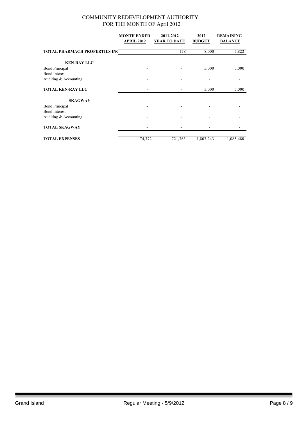|                                      | <b>MONTH ENDED</b> | 2011-2012           | 2012          | <b>REMAINING</b> |
|--------------------------------------|--------------------|---------------------|---------------|------------------|
|                                      | <b>APRIL 2012</b>  | <b>YEAR TO DATE</b> | <b>BUDGET</b> | <b>BALANCE</b>   |
| <b>TOTAL PHARMACH PROPERTIES INC</b> |                    | 178                 | 8,000         | 7,822            |
| <b>KEN-RAY LLC</b>                   |                    |                     |               |                  |
| <b>Bond Principal</b>                |                    |                     | 5,000         | 5,000            |
| <b>Bond Interest</b>                 |                    |                     |               |                  |
| Auditing & Accounting                |                    |                     |               |                  |
| <b>TOTAL KEN-RAY LLC</b>             |                    |                     | 5,000         | 5,000            |
| <b>SKAGWAY</b>                       |                    |                     |               |                  |
| <b>Bond Principal</b>                |                    |                     |               |                  |
| <b>Bond Interest</b>                 |                    |                     |               |                  |
| Auditing & Accounting                |                    |                     |               |                  |
| <b>TOTAL SKAGWAY</b>                 |                    |                     |               |                  |
| <b>TOTAL EXPENSES</b>                | 74,372             | 721,763             | 1,807,243     | 1,085,480        |